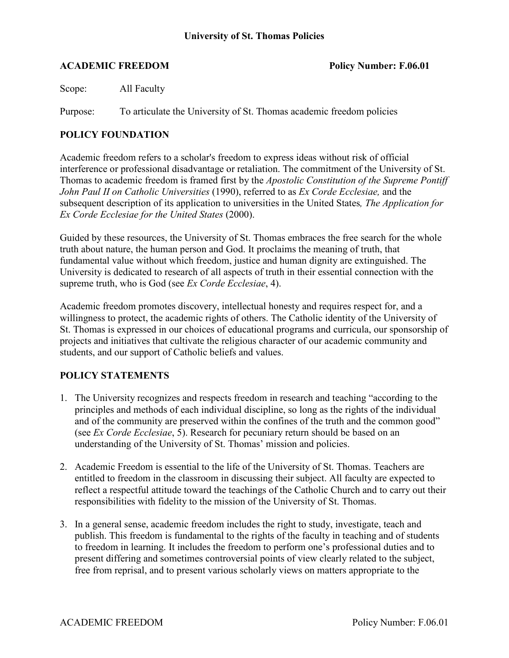#### **ACADEMIC FREEDOM Policy Number: F.06.01**

Scope: All Faculty

Purpose: To articulate the University of St. Thomas academic freedom policies

### **POLICY FOUNDATION**

Academic freedom refers to a scholar's freedom to express ideas without risk of official interference or professional disadvantage or retaliation. The commitment of the University of St. Thomas to academic freedom is framed first by the *Apostolic Constitution of the Supreme Pontiff John Paul II on Catholic Universities* (1990), referred to as *Ex Corde Ecclesiae,* and the subsequent description of its application to universities in the United States*, The Application for Ex Corde Ecclesiae for the United States* (2000).

Guided by these resources, the University of St. Thomas embraces the free search for the whole truth about nature, the human person and God. It proclaims the meaning of truth, that fundamental value without which freedom, justice and human dignity are extinguished. The University is dedicated to research of all aspects of truth in their essential connection with the supreme truth, who is God (see *Ex Corde Ecclesiae*, 4).

Academic freedom promotes discovery, intellectual honesty and requires respect for, and a willingness to protect, the academic rights of others. The Catholic identity of the University of St. Thomas is expressed in our choices of educational programs and curricula, our sponsorship of projects and initiatives that cultivate the religious character of our academic community and students, and our support of Catholic beliefs and values.

## **POLICY STATEMENTS**

- 1. The University recognizes and respects freedom in research and teaching "according to the principles and methods of each individual discipline, so long as the rights of the individual and of the community are preserved within the confines of the truth and the common good" (see *Ex Corde Ecclesiae*, 5). Research for pecuniary return should be based on an understanding of the University of St. Thomas' mission and policies.
- 2. Academic Freedom is essential to the life of the University of St. Thomas. Teachers are entitled to freedom in the classroom in discussing their subject. All faculty are expected to reflect a respectful attitude toward the teachings of the Catholic Church and to carry out their responsibilities with fidelity to the mission of the University of St. Thomas.
- 3. In a general sense, academic freedom includes the right to study, investigate, teach and publish. This freedom is fundamental to the rights of the faculty in teaching and of students to freedom in learning. It includes the freedom to perform one's professional duties and to present differing and sometimes controversial points of view clearly related to the subject, free from reprisal, and to present various scholarly views on matters appropriate to the